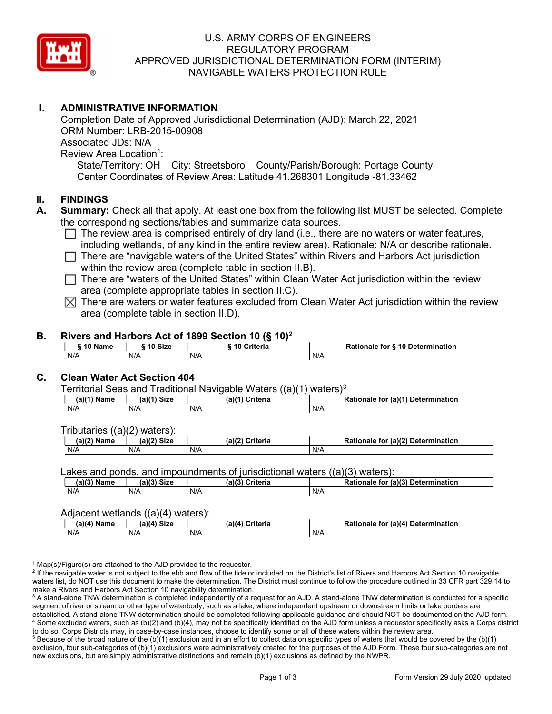

# U.S. ARMY CORPS OF ENGINEERS REGULATORY PROGRAM APPROVED JURISDICTIONAL DETERMINATION FORM (INTERIM) NAVIGABLE WATERS PROTECTION RULE

# I. ADMINISTRATIVE INFORMATION

Completion Date of Approved Jurisdictional Determination (AJD): March 22, 2021 ORM Number: LRB-2015-00908 Associated JDs: N/A Review Area Location<sup>1</sup>: State/Territory: OH City: Streetsboro County/Parish/Borough: Portage County Center Coordinates of Review Area: Latitude 41.268301 Longitude -81.33462

### II. FINDINGS

- A. Summary: Check all that apply. At least one box from the following list MUST be selected. Complete the corresponding sections/tables and summarize data sources.
	- $\Box$  The review area is comprised entirely of dry land (i.e., there are no waters or water features, including wetlands, of any kind in the entire review area). Rationale: N/A or describe rationale.
	- $\Box$  There are "navigable waters of the United States" within Rivers and Harbors Act jurisdiction within the review area (complete table in section II.B).
	- $\Box$  There are "waters of the United States" within Clean Water Act jurisdiction within the review area (complete appropriate tables in section II.C).
	- $\boxtimes$  There are waters or water features excluded from Clean Water Act jurisdiction within the review area (complete table in section II.D).

#### B. Rivers and Harbors Act of 1899 Section 10 (§ 10)<sup>2</sup>

| 10 Name | ີ <sup>1</sup> ባ Size | 10 Criteria | Rationale for § 10 Determination |
|---------|-----------------------|-------------|----------------------------------|
| N/A     | N/A                   | N/A         | N/A                              |

# C. Clean Water Act Section 404

Territorial Seas and Traditional Navigable Waters  $((a)(1)$  waters)<sup>3</sup>

| (2)<br>Name | (a)<br><b>Size</b> | (a)<br>≿riteria | $\pi$ (a) $(4)$<br>Determination<br><b>Ration</b><br>tor<br>naie |
|-------------|--------------------|-----------------|------------------------------------------------------------------|
| N/A         | N/A                | N/F             | $N$ /                                                            |

Tributaries ((a)(2) waters):

| $-1.02$<br>Name | (2)<br>$C^{\dagger}$<br>วเ∠เ | (a)/7<br>'witowio<br>nena | $\sim$ 10 <sup>2</sup><br>Determination<br>-<br>tor<br>(a)<br>naie |
|-----------------|------------------------------|---------------------------|--------------------------------------------------------------------|
| N/A             | N/A                          | N/A                       | N/A                                                                |

Lakes and ponds, and impoundments of jurisdictional waters ((a)(3) waters):

| (a)(3) Name | (a)(3) Size | (a)(?') | ेriteria<br>∽ | <b>Rationale</b><br>tor | $ur (a)$ <sup>(2)</sup><br>Determination |
|-------------|-------------|---------|---------------|-------------------------|------------------------------------------|
| N/A         | N/A         | N/f     |               | N/A                     |                                          |

#### Adjacent wetlands ((a)(4) waters):

|               | .<br>.      |                 |                                    |  |  |  |  |  |
|---------------|-------------|-----------------|------------------------------------|--|--|--|--|--|
| $(a)(4)$ Name | (a)(4) Size | (a)(4) Criteria | Rationale for (a)(4) Determination |  |  |  |  |  |
| N/A           | N/A         | N/A             | N/A                                |  |  |  |  |  |

<sup>1</sup> Map(s)/Figure(s) are attached to the AJD provided to the requestor.

<sup>2</sup> If the navigable water is not subject to the ebb and flow of the tide or included on the District's list of Rivers and Harbors Act Section 10 navigable waters list, do NOT use this document to make the determination. The District must continue to follow the procedure outlined in 33 CFR part 329.14 to make a Rivers and Harbors Act Section 10 navigability determination.

 $^3$  A stand-alone TNW determination is completed independently of a request for an AJD. A stand-alone TNW determination is conducted for a specific segment of river or stream or other type of waterbody, such as a lake, where independent upstream or downstream limits or lake borders are established. A stand-alone TNW determination should be completed following applicable guidance and should NOT be documented on the AJD form. 4 Some excluded waters, such as (b)(2) and (b)(4), may not be specifically identified on the AJD form unless a requestor specifically asks a Corps district to do so. Corps Districts may, in case-by-case instances, choose to identify some or all of these waters within the review area.

 $5$  Because of the broad nature of the (b)(1) exclusion and in an effort to collect data on specific types of waters that would be covered by the (b)(1) exclusion, four sub-categories of (b)(1) exclusions were administratively created for the purposes of the AJD Form. These four sub-categories are not new exclusions, but are simply administrative distinctions and remain (b)(1) exclusions as defined by the NWPR.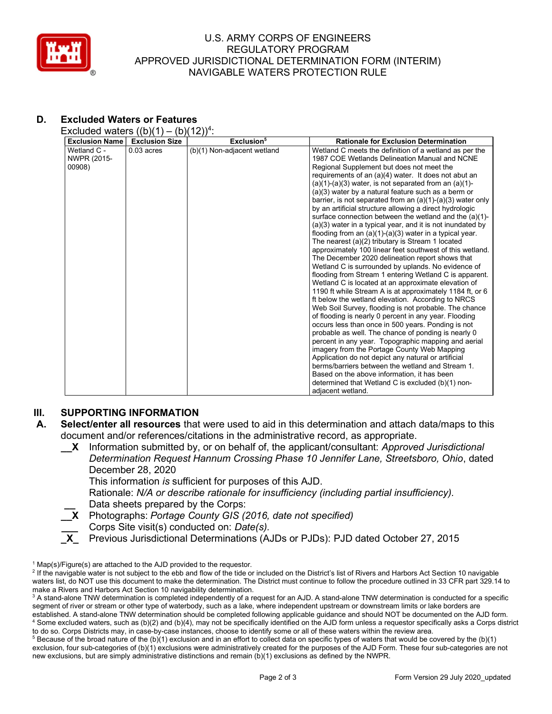

### U.S. ARMY CORPS OF ENGINEERS REGULATORY PROGRAM APPROVED JURISDICTIONAL DETERMINATION FORM (INTERIM) NAVIGABLE WATERS PROTECTION RULE

# D. Excluded Waters or Features

Excluded waters  $((b)(1) - (b)(12))^4$ :

| <b>Exclusion Name</b> | <b>Exclusion Size</b> | Exclusion <sup>5</sup>      | <b>Rationale for Exclusion Determination</b>                                                            |
|-----------------------|-----------------------|-----------------------------|---------------------------------------------------------------------------------------------------------|
| Wetland C -           | $0.03$ acres          | (b)(1) Non-adjacent wetland | Wetland C meets the definition of a wetland as per the                                                  |
| NWPR (2015-           |                       |                             | 1987 COE Wetlands Delineation Manual and NCNE                                                           |
| 00908)                |                       |                             | Regional Supplement but does not meet the                                                               |
|                       |                       |                             | requirements of an (a)(4) water. It does not abut an                                                    |
|                       |                       |                             | (a)(1)-(a)(3) water, is not separated from an $(a)(1)$ -                                                |
|                       |                       |                             | (a)(3) water by a natural feature such as a berm or                                                     |
|                       |                       |                             | barrier, is not separated from an $(a)(1)-(a)(3)$ water only                                            |
|                       |                       |                             | by an artificial structure allowing a direct hydrologic                                                 |
|                       |                       |                             | surface connection between the wetland and the (a)(1)-                                                  |
|                       |                       |                             | (a)(3) water in a typical year, and it is not inundated by                                              |
|                       |                       |                             | flooding from an $(a)(1)-(a)(3)$ water in a typical year.                                               |
|                       |                       |                             | The nearest (a)(2) tributary is Stream 1 located                                                        |
|                       |                       |                             | approximately 100 linear feet southwest of this wetland.                                                |
|                       |                       |                             | The December 2020 delineation report shows that                                                         |
|                       |                       |                             | Wetland C is surrounded by uplands. No evidence of                                                      |
|                       |                       |                             | flooding from Stream 1 entering Wetland C is apparent.                                                  |
|                       |                       |                             | Wetland C is located at an approximate elevation of                                                     |
|                       |                       |                             | 1190 ft while Stream A is at approximately 1184 ft, or 6                                                |
|                       |                       |                             | ft below the wetland elevation. According to NRCS                                                       |
|                       |                       |                             | Web Soil Survey, flooding is not probable. The chance                                                   |
|                       |                       |                             | of flooding is nearly 0 percent in any year. Flooding                                                   |
|                       |                       |                             | occurs less than once in 500 years. Ponding is not                                                      |
|                       |                       |                             | probable as well. The chance of ponding is nearly 0                                                     |
|                       |                       |                             | percent in any year. Topographic mapping and aerial                                                     |
|                       |                       |                             | imagery from the Portage County Web Mapping                                                             |
|                       |                       |                             | Application do not depict any natural or artificial<br>berms/barriers between the wetland and Stream 1. |
|                       |                       |                             |                                                                                                         |
|                       |                       |                             | Based on the above information, it has been                                                             |
|                       |                       |                             | determined that Wetland C is excluded (b)(1) non-<br>adiacent wetland.                                  |
|                       |                       |                             |                                                                                                         |

# III. SUPPORTING INFORMATION

- A. Select/enter all resources that were used to aid in this determination and attach data/maps to this document and/or references/citations in the administrative record, as appropriate.
	- X Information submitted by, or on behalf of, the applicant/consultant: Approved Jurisdictional Determination Request Hannum Crossing Phase 10 Jennifer Lane, Streetsboro, Ohio, dated December 28, 2020

This information is sufficient for purposes of this AJD.

Rationale: N/A or describe rationale for insufficiency (including partial insufficiency). Data sheets prepared by the Corps:

X Photographs: Portage County GIS (2016, date not specified)

- Corps Site visit(s) conducted on: Date(s).
- \_X\_ Previous Jurisdictional Determinations (AJDs or PJDs): PJD dated October 27, 2015

<sup>&</sup>lt;sup>1</sup> Map(s)/Figure(s) are attached to the AJD provided to the requestor.

<sup>&</sup>lt;sup>2</sup> If the navigable water is not subject to the ebb and flow of the tide or included on the District's list of Rivers and Harbors Act Section 10 navigable waters list, do NOT use this document to make the determination. The District must continue to follow the procedure outlined in 33 CFR part 329.14 to make a Rivers and Harbors Act Section 10 navigability determination.

 $^3$  A stand-alone TNW determination is completed independently of a request for an AJD. A stand-alone TNW determination is conducted for a specific segment of river or stream or other type of waterbody, such as a lake, where independent upstream or downstream limits or lake borders are established. A stand-alone TNW determination should be completed following applicable guidance and should NOT be documented on the AJD form. 4 Some excluded waters, such as (b)(2) and (b)(4), may not be specifically identified on the AJD form unless a requestor specifically asks a Corps district to do so. Corps Districts may, in case-by-case instances, choose to identify some or all of these waters within the review area.

 $5$  Because of the broad nature of the (b)(1) exclusion and in an effort to collect data on specific types of waters that would be covered by the (b)(1) exclusion, four sub-categories of (b)(1) exclusions were administratively created for the purposes of the AJD Form. These four sub-categories are not new exclusions, but are simply administrative distinctions and remain (b)(1) exclusions as defined by the NWPR.